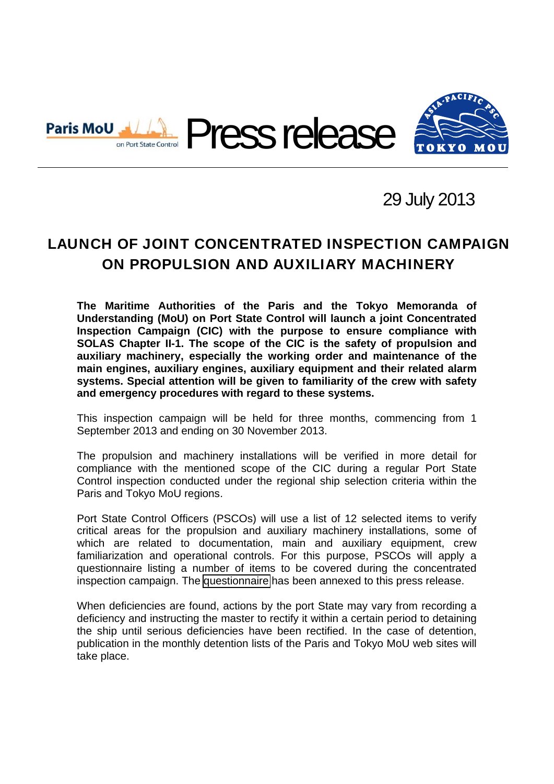

# 29 July 2013

# LAUNCH OF JOINT CONCENTRATED INSPECTION CAMPAIGN ON PROPULSION AND AUXILIARY MACHINERY

**The Maritime Authorities of the Paris and the Tokyo Memoranda of Understanding (MoU) on Port State Control will launch a joint Concentrated Inspection Campaign (CIC) with the purpose to ensure compliance with SOLAS Chapter II-1. The scope of the CIC is the safety of propulsion and auxiliary machinery, especially the working order and maintenance of the main engines, auxiliary engines, auxiliary equipment and their related alarm systems. Special attention will be given to familiarity of the crew with safety and emergency procedures with regard to these systems.** 

This inspection campaign will be held for three months, commencing from 1 September 2013 and ending on 30 November 2013.

The propulsion and machinery installations will be verified in more detail for compliance with the mentioned scope of the CIC during a regular Port State Control inspection conducted under the regional ship selection criteria within the Paris and Tokyo MoU regions.

Port State Control Officers (PSCOs) will use a list of 12 selected items to verify critical areas for the propulsion and auxiliary machinery installations, some of which are related to documentation, main and auxiliary equipment, crew familiarization and operational controls. For this purpose, PSCOs will apply a questionnaire listing a number of items to be covered during the concentrated inspection campaign. The [questionnaire](#page-3-0) has been annexed to this press release.

When deficiencies are found, actions by the port State may vary from recording a deficiency and instructing the master to rectify it within a certain period to detaining the ship until serious deficiencies have been rectified. In the case of detention, publication in the monthly detention lists of the Paris and Tokyo MoU web sites will take place.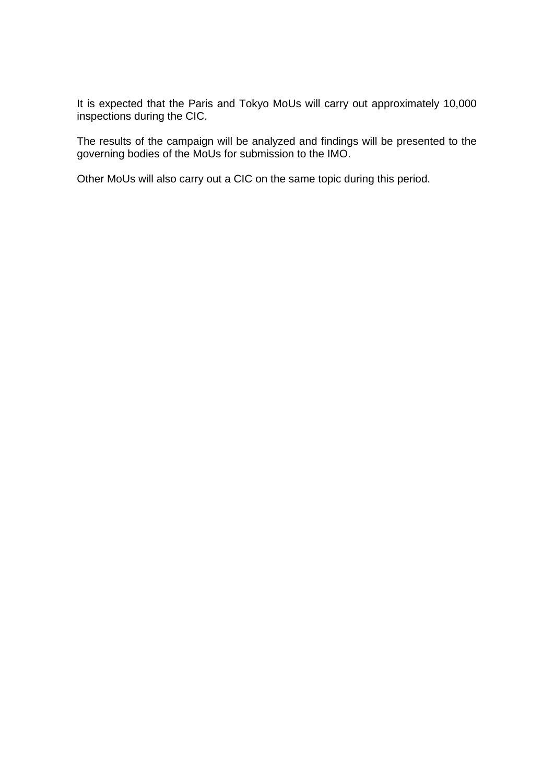It is expected that the Paris and Tokyo MoUs will carry out approximately 10,000 inspections during the CIC.

The results of the campaign will be analyzed and findings will be presented to the governing bodies of the MoUs for submission to the IMO.

Other MoUs will also carry out a CIC on the same topic during this period.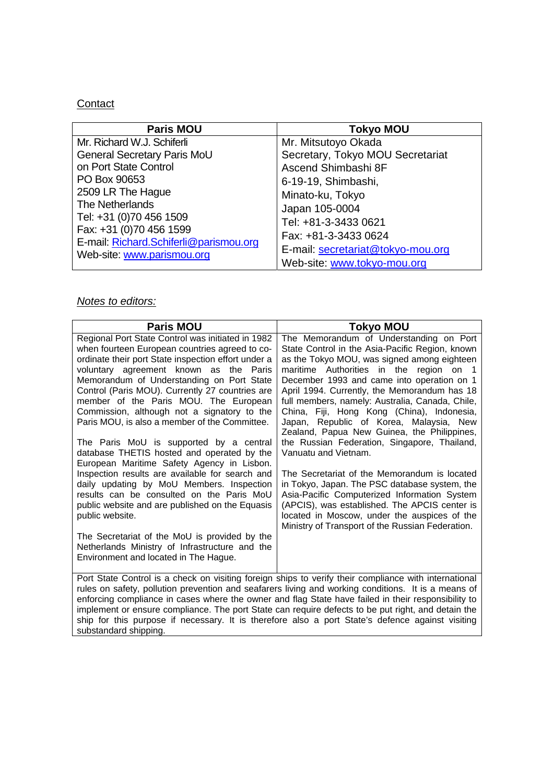## **Contact**

| <b>Paris MOU</b>                       | <b>Tokyo MOU</b>                  |
|----------------------------------------|-----------------------------------|
| Mr. Richard W.J. Schiferli             | Mr. Mitsutoyo Okada               |
| General Secretary Paris MoU            | Secretary, Tokyo MOU Secretariat  |
| on Port State Control                  | Ascend Shimbashi 8F               |
| PO Box 90653                           | 6-19-19, Shimbashi,               |
| 2509 LR The Hague                      | Minato-ku, Tokyo                  |
| The Netherlands                        | Japan 105-0004                    |
| Tel: +31 (0)70 456 1509                | Tel: +81-3-3433 0621              |
| Fax: +31 (0)70 456 1599                | Fax: +81-3-3433 0624              |
| E-mail: Richard.Schiferli@parismou.org | E-mail: secretariat@tokyo-mou.org |
| Web-site: www.parismou.org             |                                   |
|                                        | Web-site: www.tokyo-mou.org       |

### *Notes to editors:*

| <b>Paris MOU</b>                                                                                                                                                                                                                                                                                                                                                                                                                                                                                                                                                                                                                                                                                                                                                                                        | <b>Tokyo MOU</b>                                                                                                                                                                                                                                                                                                                                                                                                                                                                                                                                                                                                                                                                                                                                                                                        |  |  |
|---------------------------------------------------------------------------------------------------------------------------------------------------------------------------------------------------------------------------------------------------------------------------------------------------------------------------------------------------------------------------------------------------------------------------------------------------------------------------------------------------------------------------------------------------------------------------------------------------------------------------------------------------------------------------------------------------------------------------------------------------------------------------------------------------------|---------------------------------------------------------------------------------------------------------------------------------------------------------------------------------------------------------------------------------------------------------------------------------------------------------------------------------------------------------------------------------------------------------------------------------------------------------------------------------------------------------------------------------------------------------------------------------------------------------------------------------------------------------------------------------------------------------------------------------------------------------------------------------------------------------|--|--|
| Regional Port State Control was initiated in 1982<br>when fourteen European countries agreed to co-<br>ordinate their port State inspection effort under a<br>voluntary agreement known as the Paris<br>Memorandum of Understanding on Port State<br>Control (Paris MOU). Currently 27 countries are<br>member of the Paris MOU. The European<br>Commission, although not a signatory to the<br>Paris MOU, is also a member of the Committee.<br>The Paris MoU is supported by a central<br>database THETIS hosted and operated by the<br>European Maritime Safety Agency in Lisbon.<br>Inspection results are available for search and<br>daily updating by MoU Members. Inspection<br>results can be consulted on the Paris MoU<br>public website and are published on the Equasis<br>public website. | The Memorandum of Understanding on Port<br>State Control in the Asia-Pacific Region, known<br>as the Tokyo MOU, was signed among eighteen<br>maritime Authorities in the region on 1<br>December 1993 and came into operation on 1<br>April 1994. Currently, the Memorandum has 18<br>full members, namely: Australia, Canada, Chile,<br>China, Fiji, Hong Kong (China), Indonesia,<br>Japan, Republic of Korea, Malaysia, New<br>Zealand, Papua New Guinea, the Philippines,<br>the Russian Federation, Singapore, Thailand,<br>Vanuatu and Vietnam.<br>The Secretariat of the Memorandum is located<br>in Tokyo, Japan. The PSC database system, the<br>Asia-Pacific Computerized Information System<br>(APCIS), was established. The APCIS center is<br>located in Moscow, under the auspices of the |  |  |
| The Secretariat of the MoU is provided by the<br>Netherlands Ministry of Infrastructure and the<br>Environment and located in The Hague.                                                                                                                                                                                                                                                                                                                                                                                                                                                                                                                                                                                                                                                                | Ministry of Transport of the Russian Federation.                                                                                                                                                                                                                                                                                                                                                                                                                                                                                                                                                                                                                                                                                                                                                        |  |  |
| Port State Control is a check on visiting foreign ships to verify their compliance with international<br>rules on safety, pollution prevention and seafarers living and working conditions. It is a means of<br>enforcing compliance in cases where the owner and flag State have failed in their responsibility to<br>implement or ensure compliance. The port State can require defects to be put right, and detain the<br>ship for this purpose if necessary. It is therefore also a port State's defence against visiting<br>substandard shipping.                                                                                                                                                                                                                                                  |                                                                                                                                                                                                                                                                                                                                                                                                                                                                                                                                                                                                                                                                                                                                                                                                         |  |  |